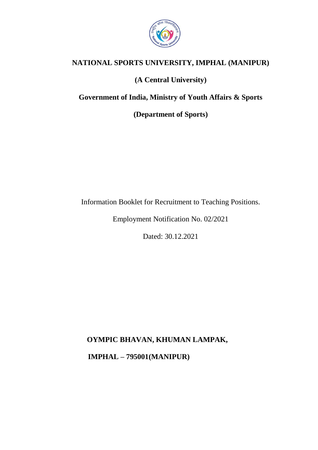

# **NATIONAL SPORTS UNIVERSITY, IMPHAL (MANIPUR)**

## **(A Central University)**

**Government of India, Ministry of Youth Affairs & Sports**

**(Department of Sports)**

Information Booklet for Recruitment to Teaching Positions.

Employment Notification No. 02/2021

Dated: 30.12.2021

**OYMPIC BHAVAN, KHUMAN LAMPAK,**

 **IMPHAL – 795001(MANIPUR)**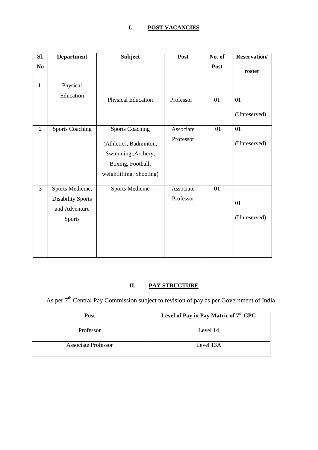## **I. POST VACANCIES**

| SI.            | <b>Department</b>                                                              | <b>Subject</b>                                                                                                           | Post                   | No. of | <b>Reservation/</b> |
|----------------|--------------------------------------------------------------------------------|--------------------------------------------------------------------------------------------------------------------------|------------------------|--------|---------------------|
| N <sub>0</sub> |                                                                                |                                                                                                                          |                        | Post   | roster              |
| 1.             | Physical<br>Education                                                          | Physical Education                                                                                                       | Professor              | 01     | 01<br>(Unreserved)  |
| $\overline{2}$ | <b>Sports Coaching</b>                                                         | <b>Sports Coaching</b><br>(Athletics, Badminton,<br>Swimming , Archery,<br>Boxing, Football,<br>weightlifting, Shooting) | Associate<br>Professor | 01     | 01<br>(Unreserved)  |
| 3              | Sports Medicine,<br><b>Disability Sports</b><br>and Adventure<br><b>Sports</b> | <b>Sports Medicine</b>                                                                                                   | Associate<br>Professor | 01     | 01<br>(Unreserved)  |

# **II. PAY STRUCTURE**

As per  $7<sup>th</sup>$  Central Pay Commission subject to revision of pay as per Government of India.

| Post                | Level of Pay in Pay Matric of 7 <sup>th</sup> CPC |
|---------------------|---------------------------------------------------|
| <b>Professor</b>    | Level 14                                          |
| Associate Professor | Level 13A                                         |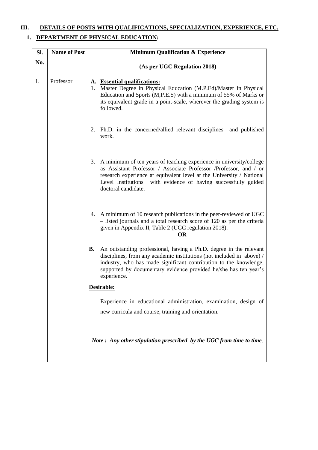# **III. DETAILS OF POSTS WITH QUALIFICATIONS, SPECIALIZATION, EXPERIENCE, ETC.**

## **1. DEPARTMENT OF PHYSICAL EDUCATION:**

| Sl. | <b>Name of Post</b> | <b>Minimum Qualification &amp; Experience</b>                                                                                                                                                                                                                                                                   |  |  |
|-----|---------------------|-----------------------------------------------------------------------------------------------------------------------------------------------------------------------------------------------------------------------------------------------------------------------------------------------------------------|--|--|
| No. |                     | (As per UGC Regulation 2018)                                                                                                                                                                                                                                                                                    |  |  |
| 1.  | Professor           | A. Essential qualifications:<br>Master Degree in Physical Education (M.P.Ed)/Master in Physical<br>1.<br>Education and Sports (M,P.E.S) with a minimum of 55% of Marks or<br>its equivalent grade in a point-scale, wherever the grading system is<br>followed.                                                 |  |  |
|     |                     | 2. Ph.D. in the concerned/allied relevant disciplines and published<br>work.                                                                                                                                                                                                                                    |  |  |
|     |                     | 3. A minimum of ten years of teaching experience in university/college<br>as Assistant Professor / Associate Professor /Professor, and / or<br>research experience at equivalent level at the University / National<br>with evidence of having successfully guided<br>Level Institutions<br>doctoral candidate. |  |  |
|     |                     | 4. A minimum of 10 research publications in the peer-reviewed or UGC<br>- listed journals and a total research score of 120 as per the criteria<br>given in Appendix II, Table 2 (UGC regulation 2018).<br><b>OR</b>                                                                                            |  |  |
|     |                     | An outstanding professional, having a Ph.D. degree in the relevant<br>В.<br>disciplines, from any academic institutions (not included in above) /<br>industry, who has made significant contribution to the knowledge,<br>supported by documentary evidence provided he/she has ten year's<br>experience.       |  |  |
|     |                     | Desirable:                                                                                                                                                                                                                                                                                                      |  |  |
|     |                     | Experience in educational administration, examination, design of                                                                                                                                                                                                                                                |  |  |
|     |                     | new curricula and course, training and orientation.                                                                                                                                                                                                                                                             |  |  |
|     |                     | Note: Any other stipulation prescribed by the UGC from time to time.                                                                                                                                                                                                                                            |  |  |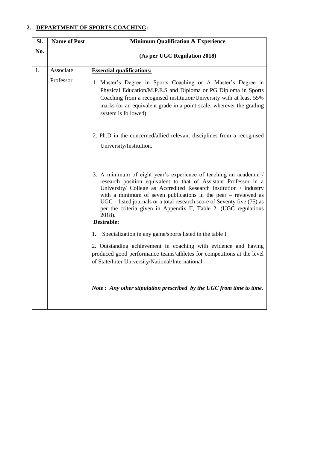### **2. DEPARTMENT OF SPORTS COACHING:**

| SI. | <b>Name of Post</b> | <b>Minimum Qualification &amp; Experience</b>                                                                                                                                                                                                                                                                                                                                                                                                             |  |
|-----|---------------------|-----------------------------------------------------------------------------------------------------------------------------------------------------------------------------------------------------------------------------------------------------------------------------------------------------------------------------------------------------------------------------------------------------------------------------------------------------------|--|
| No. |                     | (As per UGC Regulation 2018)                                                                                                                                                                                                                                                                                                                                                                                                                              |  |
| 1.  | Associate           | <b>Essential qualifications:</b>                                                                                                                                                                                                                                                                                                                                                                                                                          |  |
|     | Professor           | 1. Master's Degree in Sports Coaching or A Master's Degree in<br>Physical Education/M.P.E.S and Diploma or PG Diploma in Sports<br>Coaching from a recognised institution/University with at least 55%<br>marks (or an equivalent grade in a point-scale, wherever the grading<br>system is followed).                                                                                                                                                    |  |
|     |                     | 2. Ph.D in the concerned/allied relevant disciplines from a recognised<br>University/Institution.                                                                                                                                                                                                                                                                                                                                                         |  |
|     |                     | 3. A minimum of eight year's experience of teaching an academic /<br>research position equivalent to that of Assistant Professor in a<br>University/ College as Accredited Research institution / industry<br>with a minimum of seven publications in the peer $-$ reviewed as<br>$UGC$ – listed journals or a total research score of Seventy five $(75)$ as<br>per the criteria given in Appendix II, Table 2. (UGC regulations<br>2018).<br>Desirable: |  |
|     |                     | Specialization in any game/sports listed in the table I.<br>1.                                                                                                                                                                                                                                                                                                                                                                                            |  |
|     |                     | 2. Outstanding achievement in coaching with evidence and having<br>produced good performance teams/athletes for competitions at the level<br>of State/Inter University/National/International.                                                                                                                                                                                                                                                            |  |
|     |                     | Note: Any other stipulation prescribed by the UGC from time to time.                                                                                                                                                                                                                                                                                                                                                                                      |  |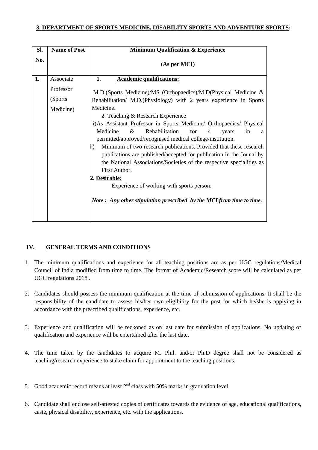### **3. DEPARTMENT OF SPORTS MEDICINE, DISABILITY SPORTS AND ADVENTURE SPORTS:**

| SI.                                                                                                                                                                                              | <b>Name of Post</b>   | <b>Minimum Qualification &amp; Experience</b>                                                                                                                                                                                                                                                                                                                                                                                                        |  |  |  |
|--------------------------------------------------------------------------------------------------------------------------------------------------------------------------------------------------|-----------------------|------------------------------------------------------------------------------------------------------------------------------------------------------------------------------------------------------------------------------------------------------------------------------------------------------------------------------------------------------------------------------------------------------------------------------------------------------|--|--|--|
| No.                                                                                                                                                                                              |                       | (As per MCI)                                                                                                                                                                                                                                                                                                                                                                                                                                         |  |  |  |
| 1.                                                                                                                                                                                               | Associate             | 1.<br><b>Academic qualifications:</b>                                                                                                                                                                                                                                                                                                                                                                                                                |  |  |  |
|                                                                                                                                                                                                  | Professor<br>(Sports) | M.D.(Sports Medicine)/MS (Orthopaedics)/M.D(Physical Medicine &                                                                                                                                                                                                                                                                                                                                                                                      |  |  |  |
|                                                                                                                                                                                                  |                       | Rehabilitation/ M.D.(Physiology) with 2 years experience in Sports                                                                                                                                                                                                                                                                                                                                                                                   |  |  |  |
| Medicine.<br>Medicine)<br>2. Teaching & Research Experience<br>Medicine<br>&<br>Rehabilitation<br>for<br>4<br>ii)<br>First Author.<br>2. Desirable:<br>Experience of working with sports person. |                       | i)As Assistant Professor in Sports Medicine/ Orthopaedics/ Physical<br>in<br>vears<br>a<br>permitted/approved/recognised medical college/institution.<br>Minimum of two research publications. Provided that these research<br>publications are published/accepted for publication in the Jounal by<br>the National Associations/Societies of the respective specialities as<br>Note: Any other stipulation prescribed by the MCI from time to time. |  |  |  |

### **IV. GENERAL TERMS AND CONDITIONS**

- 1. The minimum qualifications and experience for all teaching positions are as per UGC regulations/Medical Council of India modified from time to time. The format of Academic/Research score will be calculated as per UGC regulations 2018 .
- 2. Candidates should possess the minimum qualification at the time of submission of applications. It shall be the responsibility of the candidate to assess his/her own eligibility for the post for which he/she is applying in accordance with the prescribed qualifications, experience, etc.
- 3. Experience and qualification will be reckoned as on last date for submission of applications. No updating of qualification and experience will be entertained after the last date.
- 4. The time taken by the candidates to acquire M. Phil. and/or Ph.D degree shall not be considered as teaching/research experience to stake claim for appointment to the teaching positions.
- 5. Good academic record means at least  $2<sup>nd</sup>$  class with 50% marks in graduation level
- 6. Candidate shall enclose self-attested copies of certificates towards the evidence of age, educational qualifications, caste, physical disability, experience, etc. with the applications.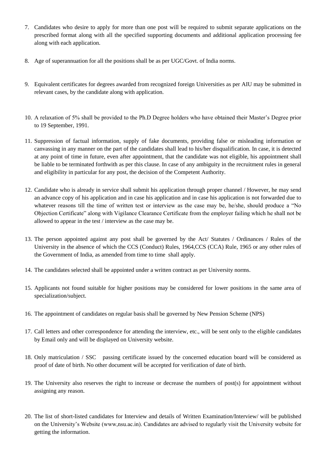- 7. Candidates who desire to apply for more than one post will be required to submit separate applications on the prescribed format along with all the specified supporting documents and additional application processing fee along with each application.
- 8. Age of superannuation for all the positions shall be as per UGC/Govt. of India norms.
- 9. Equivalent certificates for degrees awarded from recognized foreign Universities as per AIU may be submitted in relevant cases, by the candidate along with application.
- 10. A relaxation of 5% shall be provided to the Ph.D Degree holders who have obtained their Master's Degree prior to 19 September, 1991.
- 11. Suppression of factual information, supply of fake documents, providing false or misleading information or canvassing in any manner on the part of the candidates shall lead to his/her disqualification. In case, it is detected at any point of time in future, even after appointment, that the candidate was not eligible, his appointment shall be liable to be terminated forthwith as per this clause. In case of any ambiguity in the recruitment rules in general and eligibility in particular for any post, the decision of the Competent Authority.
- 12. Candidate who is already in service shall submit his application through proper channel / However, he may send an advance copy of his application and in case his application and in case his application is not forwarded due to whatever reasons till the time of written test or interview as the case may be, he/she, should produce a "No Objection Certificate" along with Vigilance Clearance Certificate from the employer failing which he shall not be allowed to appear in the test / interview as the case may be.
- 13. The person appointed against any post shall be governed by the Act/ Statutes / Ordinances / Rules of the University in the absence of which the CCS (Conduct) Rules, 1964,CCS (CCA) Rule, 1965 or any other rules of the Government of India, as amended from time to time shall apply.
- 14. The candidates selected shall be appointed under a written contract as per University norms.
- 15. Applicants not found suitable for higher positions may be considered for lower positions in the same area of specialization/subject.
- 16. The appointment of candidates on regular basis shall be governed by New Pension Scheme (NPS)
- 17. Call letters and other correspondence for attending the interview, etc., will be sent only to the eligible candidates by Email only and will be displayed on University website.
- 18. Only matriculation / SSC passing certificate issued by the concerned education board will be considered as proof of date of birth. No other document will be accepted for verification of date of birth.
- 19. The University also reserves the right to increase or decrease the numbers of post(s) for appointment without assigning any reason.
- 20. The list of short-listed candidates for Interview and details of Written Examination/Interview/ will be published on the University's Website (www,nsu.ac.in). Candidates are advised to regularly visit the University website for getting the information.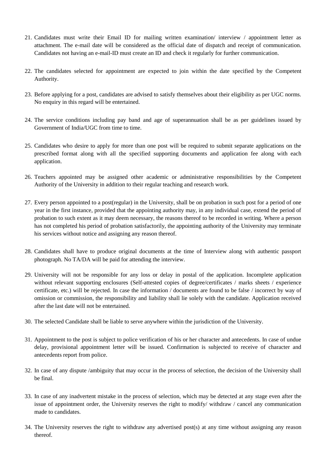- 21. Candidates must write their Email ID for mailing written examination/ interview / appointment letter as attachment. The e-mail date will be considered as the official date of dispatch and receipt of communication. Candidates not having an e-mail-ID must create an ID and check it regularly for further communication.
- 22. The candidates selected for appointment are expected to join within the date specified by the Competent Authority.
- 23. Before applying for a post, candidates are advised to satisfy themselves about their eligibility as per UGC norms. No enquiry in this regard will be entertained.
- 24. The service conditions including pay band and age of superannuation shall be as per guidelines issued by Government of India/UGC from time to time.
- 25. Candidates who desire to apply for more than one post will be required to submit separate applications on the prescribed format along with all the specified supporting documents and application fee along with each application.
- 26. Teachers appointed may be assigned other academic or administrative responsibilities by the Competent Authority of the University in addition to their regular teaching and research work.
- 27. Every person appointed to a post(regular) in the University, shall be on probation in such post for a period of one year in the first instance, provided that the appointing authority may, in any individual case, extend the period of probation to such extent as it may deem necessary, the reasons thereof to be recorded in writing. Where a person has not completed his period of probation satisfactorily, the appointing authority of the University may terminate his services without notice and assigning any reason thereof.
- 28. Candidates shall have to produce original documents at the time of Interview along with authentic passport photograph. No TA/DA will be paid for attending the interview.
- 29. University will not be responsible for any loss or delay in postal of the application. Incomplete application without relevant supporting enclosures (Self-attested copies of degree/certificates / marks sheets / experience certificate, etc.) will be rejected. In case the information / documents are found to be false / incorrect by way of omission or commission, the responsibility and liability shall lie solely with the candidate. Application received after the last date will not be entertained.
- 30. The selected Candidate shall be liable to serve anywhere within the jurisdiction of the University.
- 31. Appointment to the post is subject to police verification of his or her character and antecedents. In case of undue delay, provisional appointment letter will be issued. Confirmation is subjected to receive of character and antecedents report from police.
- 32. In case of any dispute /ambiguity that may occur in the process of selection, the decision of the University shall be final.
- 33. In case of any inadvertent mistake in the process of selection, which may be detected at any stage even after the issue of appointment order, the University reserves the right to modify/ withdraw / cancel any communication made to candidates.
- 34. The University reserves the right to withdraw any advertised post(s) at any time without assigning any reason thereof.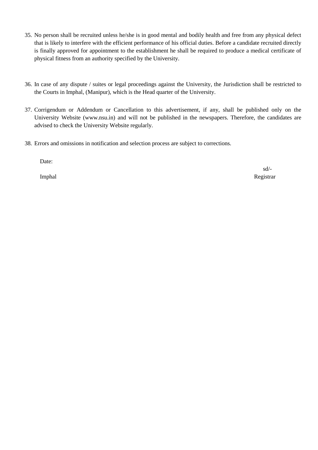- 35. No person shall be recruited unless he/she is in good mental and bodily health and free from any physical defect that is likely to interfere with the efficient performance of his official duties. Before a candidate recruited directly is finally approved for appointment to the establishment he shall be required to produce a medical certificate of physical fitness from an authority specified by the University.
- 36. In case of any dispute / suites or legal proceedings against the University, the Jurisdiction shall be restricted to the Courts in Imphal, (Manipur), which is the Head quarter of the University.
- 37. Corrigendum or Addendum or Cancellation to this advertisement, if any, shall be published only on the University Website (www.nsu.in) and will not be published in the newspapers. Therefore, the candidates are advised to check the University Website regularly.
- 38. Errors and omissions in notification and selection process are subject to corrections.

Date:

sd/- Imphal Registrar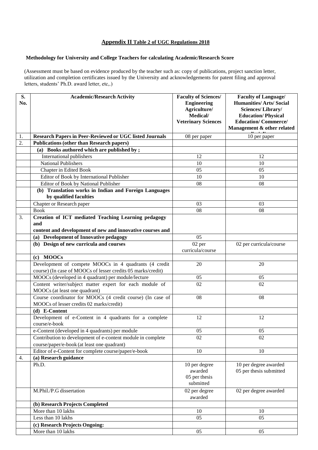### **Appendix II Table 2 of UGC Regulations 2018**

#### **Methodology for University and College Teachers for calculating Academic/Research Score**

(Assessment must be based on evidence produced by the teacher such as: copy of publications, project sanction letter, utilization and completion certificates issued by the University and acknowledgements for patent filing and approval letters, students' Ph.D. award letter, etc,.)

| S.<br>No. | <b>Academic/Research Activity</b>                                                                                  | <b>Faculty of Sciences/</b><br><b>Engineering</b><br>Agriculture/<br>Medical/ | <b>Faculty of Language/</b><br><b>Humanities/Arts/Social</b><br>Sciences/Library/<br><b>Education/Physical</b> |
|-----------|--------------------------------------------------------------------------------------------------------------------|-------------------------------------------------------------------------------|----------------------------------------------------------------------------------------------------------------|
|           |                                                                                                                    | <b>Veterinary Sciences</b>                                                    | <b>Education/Commerce/</b><br>Management & other related                                                       |
| 1.        | <b>Research Papers in Peer-Reviewed or UGC listed Journals</b>                                                     | 08 per paper                                                                  | 10 per paper                                                                                                   |
| 2.        | <b>Publications (other than Research papers)</b>                                                                   |                                                                               |                                                                                                                |
|           | (a) Books authored which are published by;                                                                         |                                                                               |                                                                                                                |
|           | International publishers                                                                                           | 12                                                                            | 12                                                                                                             |
|           | <b>National Publishers</b>                                                                                         | 10                                                                            | 10                                                                                                             |
|           | Chapter in Edited Book                                                                                             | 05                                                                            | 05                                                                                                             |
|           | Editor of Book by International Publisher                                                                          | 10                                                                            | 10                                                                                                             |
|           | Editor of Book by National Publisher                                                                               | 08                                                                            | 08                                                                                                             |
|           | (b) Translation works in Indian and Foreign Languages<br>by qualified faculties                                    |                                                                               |                                                                                                                |
|           | Chapter or Research paper                                                                                          | 03                                                                            | 03                                                                                                             |
|           | <b>Book</b>                                                                                                        | 08                                                                            | 08                                                                                                             |
| 3.        | <b>Creation of ICT mediated Teaching Learning pedagogy</b><br>and                                                  |                                                                               |                                                                                                                |
|           | content and development of new and innovative courses and                                                          |                                                                               |                                                                                                                |
|           | (a) Development of Innovative pedagogy                                                                             | 05                                                                            |                                                                                                                |
|           | (b) Design of new curricula and courses                                                                            | 02 per                                                                        | 02 per curricula/course                                                                                        |
|           |                                                                                                                    | curricula/course                                                              |                                                                                                                |
|           | (c) MOOCs                                                                                                          |                                                                               |                                                                                                                |
|           | Development of compete MOOCs in 4 quadrants (4 credit                                                              | 20                                                                            | 20                                                                                                             |
|           | course) (In case of MOOCs of lesser credits 05 marks/credit)<br>MOOCs (developed in 4 quadrant) per module/lecture | 05                                                                            | 05                                                                                                             |
|           | Content writer/subject matter expert for each module of                                                            | 02                                                                            | 02                                                                                                             |
|           | MOOCs (at least one quadrant)                                                                                      |                                                                               |                                                                                                                |
|           | Course coordinator for MOOCs (4 credit course) (In case of<br>MOOCs of lesser credits 02 marks/credit)             | 08                                                                            | 08                                                                                                             |
|           | (d) E-Content                                                                                                      |                                                                               |                                                                                                                |
|           | Development of e-Content in 4 quadrants for a complete                                                             | 12                                                                            | 12                                                                                                             |
|           | course/e-book                                                                                                      |                                                                               |                                                                                                                |
|           | e-Content (developed in 4 quadrants) per module                                                                    | $05\,$                                                                        | $05\,$                                                                                                         |
|           | Contribution to development of e-content module in complete                                                        | 02                                                                            | 02                                                                                                             |
|           | course/paper/e-book (at least one quadrant)                                                                        |                                                                               |                                                                                                                |
|           | Editor of e-Content for complete course/paper/e-book                                                               | 10                                                                            | 10                                                                                                             |
| 4.        | (a) Research guidance                                                                                              |                                                                               |                                                                                                                |
|           | Ph.D.                                                                                                              | 10 per degree<br>awarded<br>05 per thesis<br>submitted                        | 10 per degree awarded<br>05 per thesis submitted                                                               |
|           | M.Phil./P.G dissertation                                                                                           | 02 per degree<br>awarded                                                      | 02 per degree awarded                                                                                          |
|           | (b) Research Projects Completed                                                                                    |                                                                               |                                                                                                                |
|           | More than 10 lakhs                                                                                                 | 10                                                                            | 10                                                                                                             |
|           | Less than 10 lakhs                                                                                                 | 0 <sub>5</sub>                                                                | 0 <sub>5</sub>                                                                                                 |
|           | (c) Research Projects Ongoing:                                                                                     |                                                                               |                                                                                                                |
|           | More than 10 lakhs                                                                                                 | 05                                                                            | 05                                                                                                             |